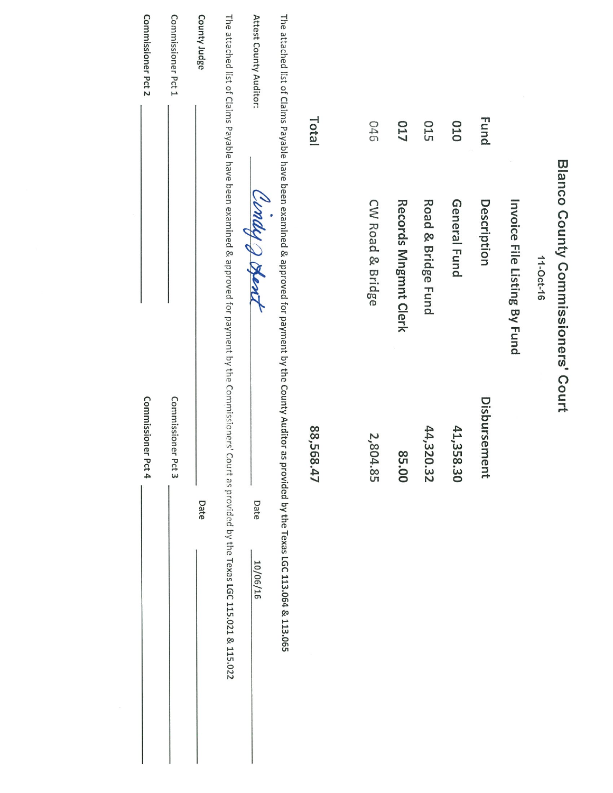| Total<br>046<br>CW Road & Bridge<br>88,568.47<br>2,804.85 | <b>Fund</b><br>010<br><b>ZTO</b><br><b>O15</b><br>Blanco County Commissioners' Court<br>Invoice File Listing By Fund<br>General Fund<br>Road & Bridge Fund<br>Description<br>11-Oct-16<br>Disbursement<br>41,358.30<br>44,320.32<br>85.00 |                      |
|-----------------------------------------------------------|-------------------------------------------------------------------------------------------------------------------------------------------------------------------------------------------------------------------------------------------|----------------------|
|                                                           |                                                                                                                                                                                                                                           | Records Mngmnt Clerk |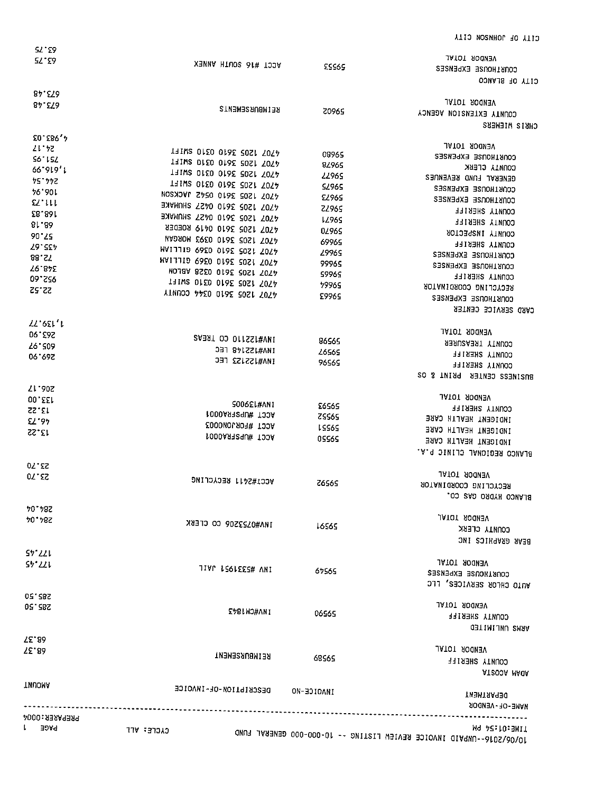| L<br>うつかり                             | כגכרכ אדד                                                       |                                       | M4 75:10:3WI1<br>10/09/2019--0NbVID INAOICE KEAIEM FIZIING -- 10-000-000 GEMEKYT LOND |
|---------------------------------------|-----------------------------------------------------------------|---------------------------------------|---------------------------------------------------------------------------------------|
| <b>THUOHA</b><br><b>PREPARER:0004</b> | DESCRIPTION-OF-INVOICE                                          | INVOICE-NO                            | <b>THEMIRAA130</b><br>NAME-OF-VENDOR                                                  |
| <b>75.88</b>                          | REIMBURSEMENI                                                   | 68565                                 | VENDOR TOTAL<br>COUNIY SHERIFF<br>AT20JA MAGA                                         |
| <b>75.86</b>                          | INV#CH1843                                                      | 06565                                 | COUNTY SHERIFF<br><b>ARMS UNLINITED</b>                                               |
| <b>285.50</b><br><b>05.38S</b>        |                                                                 |                                       | AUTO CHLOR SERVICES, LLC<br>VENDOR TOTAL                                              |
| 5521<br>57 L1                         | JIAL FROTEER# VAI                                               | 67565                                 | VENDOR TOTAL<br>COURTROUSE EXPENSES                                                   |
| 20, 485<br>70.782                     | INA#0123206 CO CTEBK                                            | 16565                                 | VENDOR TOTAL<br>COUNIY CLERK<br>BEAR GRAPHICS INC                                     |
| 23.70<br><b>DZ * 22</b>               | ACCT#2411 RECYCLING                                             | 26565                                 | VENDOR TOTAL<br>RECYCLING COORDINATOR<br>BLANCO HYDRO GAS CO.                         |
| 13.22                                 | <b>1000AЯ329U# 100A</b>                                         | 05565                                 | INDIGENT HEALTH CARE<br>INDIGENI HEVTIH CVBE<br>BLANCO REGIONAL CLINIC P.A.           |
| <b>SS.21</b><br>2'97                  | ACCT #UPSFRA0001<br>ACCT #FORJON0003                            | <b>26565</b><br><b>25565</b><br>LSS65 | COUNTY SHERIFF<br><b>JAAO HTASH THE CARE</b>                                          |
| <b>SOS.17</b><br>00. EEM              | <b>S0062L#ANI</b>                                               |                                       | VENDOR TOTAL                                                                          |
| 06.692                                | INV#122123 LEC                                                  | 96565                                 | COUNTY SHERIFF<br>BUSINESS CENTER PRINT & OS                                          |
| <b>Z6.208</b>                         | INV#122110 CO TREAS<br>J31 871221#ANI                           | 86565<br><b>26565</b>                 | COUNTY TREASURER<br>COUNTY SHERIFF                                                    |
| 22.651'1<br>06.585                    |                                                                 |                                       | CARD SERVICE CENTER<br>VENDOR TOTAL                                                   |
| 22.52                                 | AINNOO 7720 0192 5021 2027                                      | <b>29965</b>                          | RECYCLING COORDINATOR<br>COURTHOUSE EXPENSES                                          |
| 09.S29                                | 4707 1205 3520 0128 ABLOW<br>THIW2 OFEO OFAE 20ST YOYA          | 59965<br>7996S                        | COUNTY SHERIFF                                                                        |
| 88.ST<br>79.842                       | WVITID 6920 0192 5021 2027                                      | 99965                                 | COURTHOUSE EXPENSES<br>COURTHOUSE EXPENSES                                            |
| <b>79.254</b>                         | WVITI5 6920 0192 5021 2027                                      | 69965<br><b>2996S</b>                 | COUNTY SHERIFF                                                                        |
| 90'ZS                                 | <b>ABOBOA 9140 OIAS 50SI 7074</b><br>KADAOM EQEO OTAE 20S1 YOTA | 02965                                 | COUNTY INSPECTOR                                                                      |
| <b>28.861</b><br>81.33                | SYAMUH2 7S40 0165 20S1 5074                                     | 12965                                 | COUNIY SHERIFF                                                                        |
| $\mathfrak{a}$ in                     | SYAMUH2 7SAO 0185 20S1 507A                                     | 5965                                  | COUNTY SHERIFF                                                                        |
| 76'90L                                | 4707 1205 3610 0542 1ACKSON                                     | <b>SZ965</b><br><b>EL965</b>          | CONSINOUSE EXPENSES<br>COURTHOUSE EXPENSES                                            |
| 75'772                                | THIW2 OFEO OTAE 20ST YOTA                                       | 22965                                 | GENERAL FUND REVENUES                                                                 |
| 66.919'1                              | TINE OFEO OTAE 20ST YOTA<br>THIW2 OFEO OTAE 20ST YOTA           | 87692                                 | COUNTY CLERK                                                                          |
| 71.15<br>56 LSZ                       | THIW2 OFEO OFAS 20ST YOTA                                       | 08965                                 | <b>VENDOR TOTAL</b><br>COURTHOUSE EXPENSES                                            |
| EO E86'7                              |                                                                 | 20965                                 | COUNLY EXTENSION AGENCY<br><b>CHRIS MIEHERS</b>                                       |
| 84.578<br>87. ET8                     | REINBURSENENIS                                                  |                                       | VENDOR TOTAL                                                                          |
|                                       | XENNA HTUO2 81# TOOA                                            | <b>25565</b>                          | CONSINONSE EXPENSES<br>CITY OF BLANCO                                                 |
| SZ 29<br><b>27.26</b>                 |                                                                 |                                       | VENDOR TOTAL                                                                          |
|                                       |                                                                 |                                       |                                                                                       |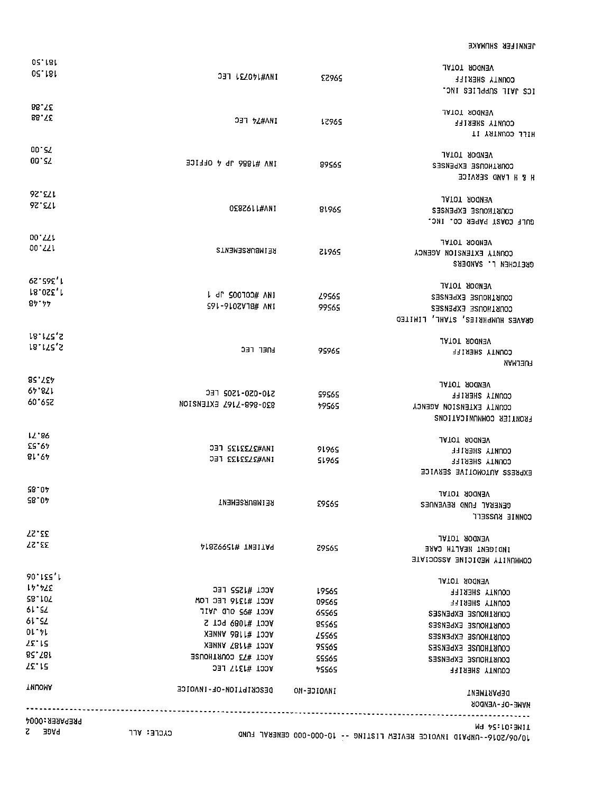**JENNIFER SHUMAKE** 

| 02.181<br>02.181                   |                        |              | <b>VENDOR TOTAL</b>                                                                             |
|------------------------------------|------------------------|--------------|-------------------------------------------------------------------------------------------------|
|                                    | JET LEZOVL#ANI         | <b>22965</b> | COUNTY SHERIFF<br>ICS 1NIE SUPPLIES INC.                                                        |
| 88.TE                              |                        |              | VENDOR TOTAL                                                                                    |
| 88.TE                              | 1844/47 LEC            | 12965        | COUNTY SHERIFF<br><b>II YATNUOJ JJIH</b>                                                        |
| $00 - 52$                          |                        |              | VENDOR TOTAL                                                                                    |
| 00'SZ                              | 101710 4 4L 6881# VWI  | 89565        | CONSINOUSE EXPENSES<br>H & H LAND SERVICE                                                       |
| 92. ET I                           |                        |              | VENDOR TOTAL                                                                                    |
| 92.51                              | 0282611#ANI            | 81965        | COURTHOUSE EXPENSES<br>GULF COAST PAPER CO. INC.                                                |
| 00.YY                              |                        |              | VENDOR TOTAL                                                                                    |
| 00.551                             | <b>REINBURSENENTS</b>  | 51965        | COUNTY EXTENSION AGENCY<br>GRETCHEN L. SANDERS                                                  |
| <b>95.265.29</b>                   |                        |              | VENDOR TOTAL                                                                                    |
| 18.0SZ, M                          | L dr SOOTOO# ANI       | 29565        | CONRINOUSE EXPENSES                                                                             |
| $8 + 17$                           | S91-9102V18# ANI       | 99S6S        | COURTHOUSE EXPENSES                                                                             |
|                                    |                        |              | GRAVES HUMPHRIES, STAHL, LIMITED                                                                |
| <b>18.ITS,S</b>                    |                        |              | VENDOR TOTAL                                                                                    |
| 18'125'2                           | FUEL LEC               | 9596S        | COUNIY SHERIFF<br><b>KAMJEUR</b>                                                                |
| <b>85.754</b>                      |                        |              | VENDOR TOTAL                                                                                    |
| 67.871                             | 210-020-1505 FEC       | <b>S9S6S</b> | COUNIY SHERIFF                                                                                  |
| 529.09                             | 830-866-7167 EXTENSION | <b>79565</b> | COUNTY EXTENSION AGENCY<br>FRONTIER COMMUNICATIONS                                              |
| <b>17.89</b>                       |                        |              | VENDOR TOTAL                                                                                    |
| <b>ES'67</b>                       | INA\\SIJISE FEC        | 91965        | COUNTY SHERIFF                                                                                  |
| 81.67                              | INV#3733133 FEC        | S1965        | COUNTY SHERIFF<br>EXPRESS AUTOMOTIVE SERVICE                                                    |
| S8 07                              |                        |              | VENDOR TOTAL                                                                                    |
| 58.07                              | <b>REINBURSENENT</b>   | <b>29565</b> | GENERAL FUND REVENUES<br>CONNIE BASSELL                                                         |
| <b>7S. 27</b>                      |                        |              | <b>VENDOR TOTAL</b>                                                                             |
| 73. 27                             | PATIENT #15992814      | <b>29565</b> | <b>JAAJ HTJA∃H TWJDIQNI</b><br>COMMUNITY MEDICINE ASSOCIATE                                     |
| 90.152.1                           |                        |              | VENDOR TOTAL                                                                                    |
| 17.755                             | ACCT #1255 LEC         | <b>19565</b> | COUNTY SHERIFF                                                                                  |
| <b>58.107</b>                      | AOJ JER FEC LOW        | 09565        | COUNTY SHERIFF                                                                                  |
| 61.52                              | VCCL #22 OFD 1VIF      | 69565        | CONKINOUSE EXPENSES                                                                             |
| 61.52                              | ACCT #1089 PCT 2       | 85565        | COURTHOUSE EXPENSES                                                                             |
| 01.91                              | ACCT #1186 ANNEX       | ZSS6S        | COURTHOUSE EXPENSES                                                                             |
| <b>SE 15</b>                       | ACCT #1187 ANNEX       | 95565        | COURTHOUSE EXPENSES                                                                             |
| 82.581                             | ACCT #73 COURTHOUSE    | SSS65        | CONRIHOUSE EXPENSES                                                                             |
| 75.12                              | ACCT #1317 LEC         | 75565        | COUNTY SHERIFF                                                                                  |
| THUOMA                             | DESCRIPTION-OF-INVOICE | INVOICE-NO   | <b>DEPARTMENT</b><br><b>KAME-OF-VENDOR</b>                                                      |
|                                    |                        |              |                                                                                                 |
| PREPARER:0004<br>Z.<br><b>PAGE</b> | כגכרפ: ארר             |              | M9 22:10:3M1T<br>$10\lambda$ no) snio--annyin inanice keaiem Fiziing -- 10-000-000 GENEBVF ENND |
|                                    |                        |              |                                                                                                 |

1 WING/SOJ9--ANDUNI INAOICE BEAIEN I ÷,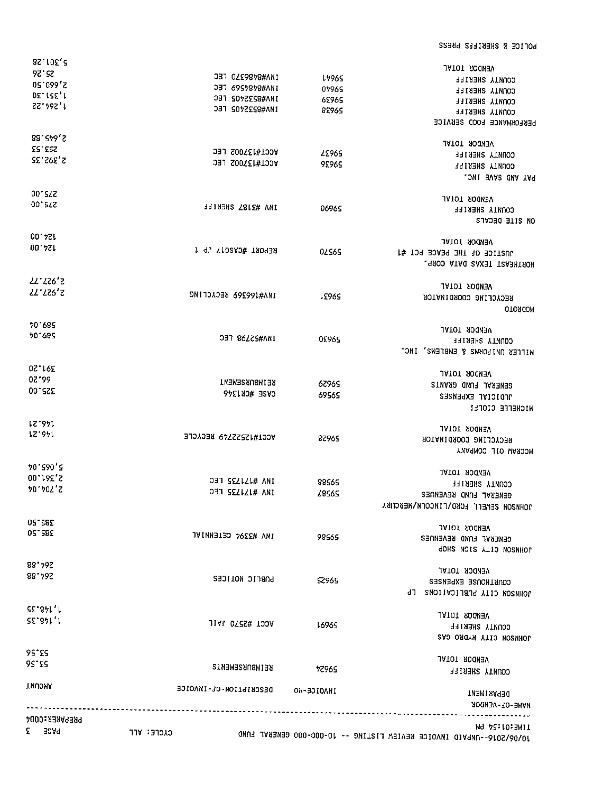| 385.50                                 |                                                              |                                | VENDOR TOTAL                                                                              |
|----------------------------------------|--------------------------------------------------------------|--------------------------------|-------------------------------------------------------------------------------------------|
|                                        |                                                              |                                | <b>JOHNZON ZEMELL FORD/LINCOLN/NERCURY</b>                                                |
| 2,707,04                               | <b>DET SEZIZI# ANI</b>                                       | <b>29565</b>                   | COUNIY SHERIFF<br>GENEBAL FUND REVENUES                                                   |
| 70°590'S<br>00'192'2                   | OHT SEZIZI# ANI                                              | 88565                          | JATOT ROOWEV                                                                              |
| しこ・タケレ<br>りこ タケレ                       | ACCT#12522749 RECYCLE                                        | 8296S                          | VENDOR TOTAL<br>RECYCLING COORDINATOR<br>MCCRAW OIL COMPANY                               |
| 02.88<br>325.00                        | <b>REINBURSENENT</b><br>CASE #CR1346                         | 62965<br>69565                 | <b>JATOT ROOWEV</b><br>GENERAL FUND GRANTS<br>JUDICIAL EXPENSES<br><b>MICHEFFE CIOFLI</b> |
| 589.04<br>291.20                       | <b>JBT 86/ZS#ANI</b>                                         | 02965                          | COUNTY SHERIFF<br>WITTEK NAILOKWS & EWBTEWS' INCT                                         |
| 70.685                                 |                                                              |                                | <b>OTOROOM</b><br>VENDOR TOTAL                                                            |
| <b>ST.759,S</b><br>27.759.27           | INV#166369 RECYCLING                                         | <b>LE96S</b>                   | . 4900 ATAQ 2AXET TEABHTAON<br>VENDOR TOTAL<br>RECYCLING COORDINATOR                      |
| <b>00.4SM</b><br>124.00                | REPORT #CASO17 JP 1                                          | 02565                          | <b>CITE DECALS</b><br>VENDOR TOTAL<br>JUSTICE OF THE PEACE PCT #1                         |
| <b>00.25S</b><br><b>00.252</b>         | <b>THI #3187 SHERIFF</b>                                     | 06965                          | VENDOR TOTAL<br>COUNTY SHERIFF                                                            |
| 88.246,5<br>25.53.53<br>52.592.35      | ACCT#137002 LEC<br>ACCT#137002 LEC                           | <b>ZE96S</b><br>92965          | VENDOR TOTAL<br>COUNTY SHERIFF<br>COUNTY SHERIFF<br>PAY AND SAVE INC.                     |
|                                        | <b>JAN#8532405 LEC</b>                                       | 85965                          | <b>COUNTY SHERIFF</b><br>PERFORMANCE FOOD SERVICE                                         |
| 05'099'Z<br><b>DE-15E'L</b><br>22.2211 | 131 OZE9878#ANI<br>031 6957878#ANI<br><b>JET SOVZESS#ANI</b> | <b>L7965</b><br>07965<br>62965 | COUNTY SHERIFF<br>COUNTY SHERIFF<br>COUNTY SHERIFF                                        |
| <b>SS.26</b>                           |                                                              |                                | VENDOR TOTAL                                                                              |

POLICE & SHERIFFS PRESS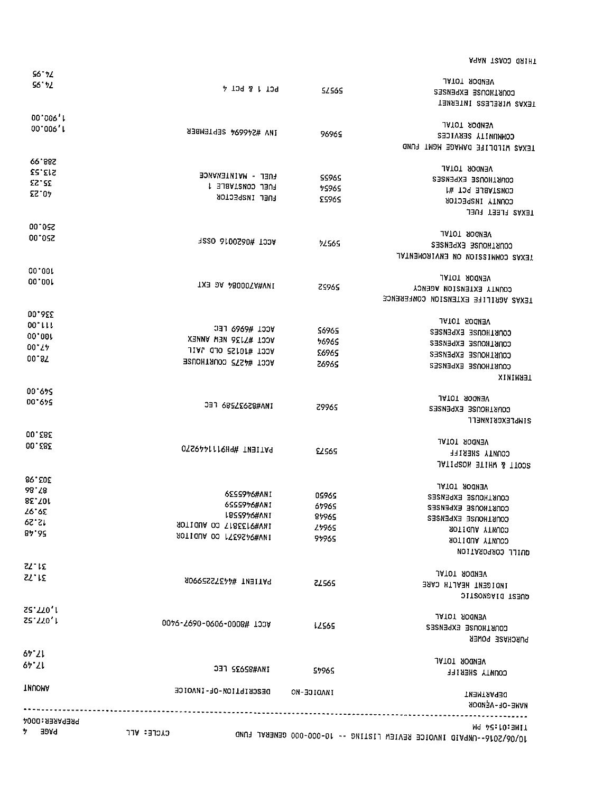AGAW T2A00 ORIHT

| S6 72                |                               |              |                                                                      |
|----------------------|-------------------------------|--------------|----------------------------------------------------------------------|
| 56.32                |                               |              | VENDOR TOTAL                                                         |
|                      | 7 104 7 1 104                 | <b>SZS6S</b> | COURTHOUSE EXPENSES                                                  |
|                      |                               |              | TEXAS WIRELESS INTERNET                                              |
| 00.009, 1            |                               |              |                                                                      |
| 00'006'L             |                               |              | VENDOR TOTAL                                                         |
|                      | INA #SYQQQY 2EblEWBEB         | 9696S        | COMMUNITY SERVICES                                                   |
|                      |                               |              | TEXAS WILDLIFE DAMAGE MGMT FUND                                      |
|                      |                               |              |                                                                      |
| 66.882               |                               |              | VENDOR TOTAL                                                         |
| <b>213.53</b>        | FUEL - MAINTENANCE            | <b>SS965</b> | CONKINOUSE EXPENSES                                                  |
| 35.23                | <b>L BUBATRUSLAS</b>          | 7596S        |                                                                      |
| <b>25.04</b>         | <b>FUEL INSPECTOR</b>         | <b>ES96S</b> | CONZIABLE PCT #1                                                     |
|                      |                               |              | COUNTY INSPECTOR                                                     |
|                      |                               |              | JEXAS FLEET FUEL                                                     |
| 00.025               |                               |              |                                                                      |
| <b>250.00</b>        | 1220 8100290# 133A            |              | VENDOR TOTAL                                                         |
|                      |                               | <b>72565</b> | COURTHOUSE EXPENSES                                                  |
|                      |                               |              | TEXAS COMMISSION ON ENVIROMENTAL                                     |
| 00.00L               |                               |              |                                                                      |
|                      |                               |              | VENDOR TOTAL                                                         |
| <b>00.001</b>        | <b>IXE DA A8000 AG EXT</b>    | <b>25965</b> | COUNLA EXIENSION AGENCY                                              |
|                      |                               |              | TEXAS AGRILIFE EXTENSION CONFERENCE                                  |
|                      |                               |              |                                                                      |
| 336.00               |                               |              | VENDOR TOTAL                                                         |
| <b>00 LLL</b>        | ACCT #6969 LEC                | 56965        |                                                                      |
| <b>00.001</b>        | ACCT #7136 NEW ANNEX          | 7696S        | COURTHOUSE EXPENSES                                                  |
| 00'Z7                | ACCT #10125 OLD JAIL          |              | CONRINOUSE EXPENSES                                                  |
| 00.87                |                               | <b>26965</b> | COURTHOUSE EXPENSES                                                  |
|                      | ACCT #4275 COURTHOUSE         | 5965         | COURTHOUSE EXPENSES                                                  |
|                      |                               |              | <b>TERMINIX</b>                                                      |
| 00.675               |                               |              |                                                                      |
| 00.645               |                               |              | VENDOR TOTAL                                                         |
|                      | 18A#8\$32285 FEC              | <b>Z996S</b> | COURTHOUSE EXPENSES                                                  |
|                      |                               |              | <b>SIMPLEXGRINNELL</b>                                               |
|                      |                               |              |                                                                      |
| 00. E8E              |                               |              | VENDOR TOTAL                                                         |
| 383.00               | PATIENT #PH911144             | <b>ELS65</b> |                                                                      |
|                      |                               |              | COUNTY SHERIFF                                                       |
|                      |                               |              | SCOTT & WHITE HOSPITAL                                               |
| 89. EOE              |                               |              |                                                                      |
| <b>87.58</b>         |                               |              | VENDOR TOTAL                                                         |
| 85. JOI              | 62SS976#ANI                   | 05965        | COURTHOUSE EXPENSES                                                  |
| 26.92                | 6SSS976#ANI                   | 6796S        | COURTHOUSE EXPENSES                                                  |
| 12.29                | <b>L8SS976#ANI</b>            | 87965        | COURTHOUSE EXPENSES                                                  |
|                      | <b>AOTIQUA OD TIBEEIQ#VWI</b> | 748995       | COUNTY AUDITOR                                                       |
| 85.95                | <b>SOTIOUA OD ITESSARWINI</b> | 97965        | SOUNTY AUDITOR                                                       |
|                      |                               |              | QUILARDQRDCO JJIUD                                                   |
|                      |                               |              |                                                                      |
| $Z^{\prime}$ is      |                               |              |                                                                      |
| 22.15                | PATIENT #44372559908          | 22565        | VENDOR TOTAL                                                         |
|                      |                               |              | INDIGENT HEALTH CARE                                                 |
|                      |                               |              | <b>QUEST DIAGNOSTIC</b>                                              |
| <b>ZS'ZZ0'L</b>      |                               |              |                                                                      |
| 25'220'1             |                               |              | VENDOR TOTAL                                                         |
|                      | 0076-2690-0606-0008# 100V     | .2565        | CONRINOUSE EXPENSES                                                  |
|                      |                               |              | PURCHASE POWER                                                       |
| 67'21                |                               |              |                                                                      |
|                      |                               |              | VENDOR TOTAL                                                         |
| 67'ZI                | <b>INV#85935 LEC</b>          | 57965        | COUNTY SHERIFF                                                       |
|                      |                               |              |                                                                      |
| <b>THUOMA</b>        | DESCRIPTION-OF-INVOICE        | INAOICE-MO   |                                                                      |
|                      |                               |              | <b>TKEMTAA930</b>                                                    |
|                      |                               |              | NAME-OF-VENDOR                                                       |
| <b>PREPARER:0004</b> |                               |              |                                                                      |
| ን 30A9               | כגכרפ: ערר                    |              | M9 42:10:3MIT                                                        |
|                      |                               |              | 10/06/2016-JUNPAID INVOICE REVIEW LISTING -- 10-000-000 GENERAL FUND |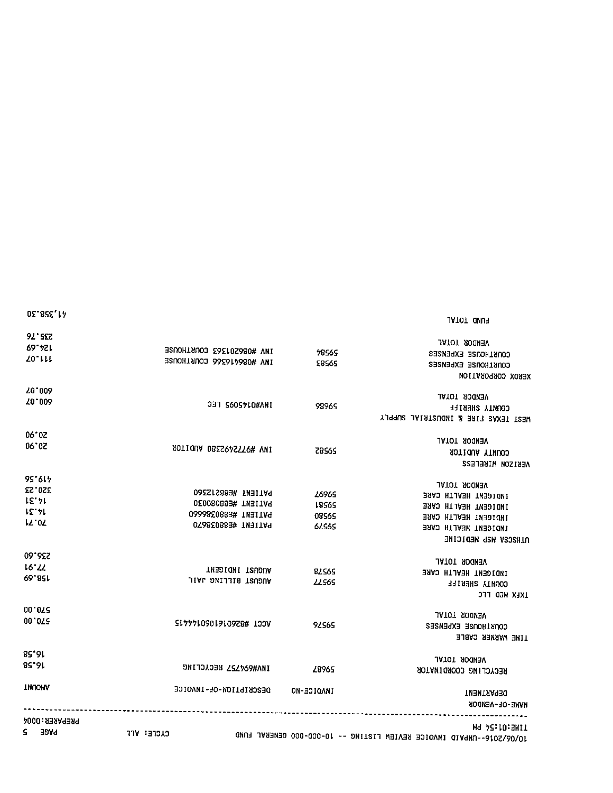| <b>85.76</b>         |                               |              |                                                                       |
|----------------------|-------------------------------|--------------|-----------------------------------------------------------------------|
| 69*7ZL               | INV #086201363 COURTHOUSE     | 78565        | VENDOR TOTAL                                                          |
| 20'111               | TRUSHER #086416360 COURTHOUSE |              | COURTHOUSE EXPENSES                                                   |
|                      |                               | <b>28265</b> | CONKINOUSE EXPENSES                                                   |
|                      |                               |              | KEROX CORPORATION                                                     |
| <b>Z0 009</b>        |                               |              | VENDOR TOTAL                                                          |
| 20.009               | <b>JET S60S7LO#ANI</b>        | 98965        | COUNTY SHERIFF                                                        |
|                      |                               |              | WEST TEXAS FIRE & INDUSTRIAL SUPPLY                                   |
| 06.05                |                               |              |                                                                       |
| 06.02                |                               |              | VENDOR TOTAL                                                          |
|                      | ROTIQUA 082594S7TQ# VWI       | 28565        | SOTIGUA YINDOO                                                        |
|                      |                               |              | VERIZON WIRELESS                                                      |
| 95'617               |                               |              |                                                                       |
| 320 23               | PATIENT #E88212360            | 26965        | VENDOR TOTAL                                                          |
| しとこケレ                | DE0080883# IN3ITA9            | 59581        | <b>INDIGENI HEALTH CARE</b>                                           |
| しら ケレ                | 088880883# TH31TA9            | 08565        | <b>JAAJ HTALIH TARE</b>                                               |
| LZ 02                | 078850883# TW31TA9            | 62565        | INDIGENI HEVTIH CVKE                                                  |
|                      |                               |              | INDIGENT HEALTH CARE                                                  |
|                      |                               |              | UTHSCSA MSP NEDICINE                                                  |
| 09.922               |                               |              | VENDOR 101AL                                                          |
| 16'22                | ANGOIGNI ISOODN               | <b>BZ565</b> | INDIGENI HEALTH CARE                                                  |
| <b>99.821</b>        | <b>TIVP SITTIB LSNONY</b>     | <b>LLS6S</b> | COUNIY SHERIFF                                                        |
|                      |                               |              | <b>LXEX NED TTC</b>                                                   |
| 00.075               |                               |              |                                                                       |
| 00°02S               |                               |              | VENDOR TOTAL                                                          |
|                      | R144410301610658# T33A        | 92565        | COURTHOUSE EXPENSES                                                   |
|                      |                               |              | <b>TIME WARNER CABLE</b>                                              |
| 82.91                |                               |              |                                                                       |
| 85.91                | DNIJOYOBR \CYGO#VWI           | 28965        | <b>VENDOR TOTAL</b>                                                   |
|                      |                               |              | RECYCLING COORDINATOR                                                 |
| <b>THUOMA</b>        | DESCRIPTION-OF-INVOICE        | IMAOICE-NO   |                                                                       |
|                      |                               |              | <b>TUBMTAA930</b>                                                     |
|                      |                               |              | <b>HAME-OF-VENDOR</b>                                                 |
| <b>PREPARER:0004</b> |                               |              | Md ⊅S:lO:∃WII                                                         |
| $S$ 39Vd             | כגכרב: אור                    |              | 10/09/2019-91/MPAID INVOICE REVIEW LISTING -- 10-000-000 GENERAL FUND |
|                      |                               |              |                                                                       |

FUND TOTAL

02'852'17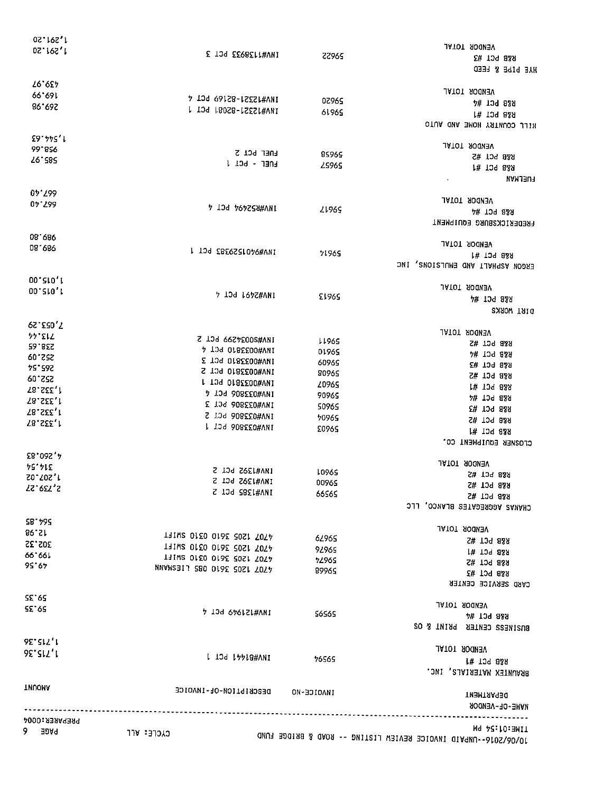| 1,291.20<br>VENDOR TOTAL<br>1,291.20<br>E 104 EE68ELL#ANI<br><b>22965</b><br>E# 134 828<br>HYE PIPE & FEED<br>26'627<br>VENDOR TOTAL<br>66'691<br>1 TJ9 00158-12251#VWI<br>02965<br>7# 139 839<br>86.695<br>1 TJ9 180S8-1S251#VMI<br>61965<br><b>N&amp;B</b> PCT #1<br><b>ALLL COUNTRY HOME AND AUTO</b><br>29.775'1<br>VENDOR TOTAL<br>99.829<br><b>EUEL PCT 2</b><br>85965<br>S# T09 889<br>585.97<br>$\uparrow$ TDA - JEUF<br><b>ZS965</b><br>R&B PCT #1<br><b>AAMJJUR</b><br>$\sim$<br>07'299<br>VENDOR TOTAL<br>07'299<br>104 767258#ANI<br><b>LL965</b><br>A# T39 889<br><b>LKEDEKICK28NKC EONIBWEML</b><br>08.989<br>VENDOR TOTAL<br>08.989<br>1 104 2826251076#ANI<br>71965<br>1# TOY 888<br>ERCON V2bHVTI VND EWNF2ION2' INC<br>1,015.00<br>VENDOR TOTAL<br>00.210, f<br>7 13d 167Z#ANI<br><b>EL96S</b><br>4# 109 838<br><b>DIRT WORKS</b><br>2,053.29<br>VENDOR TOTAL<br>うつ としん<br>INA#2003#299 PCT 2<br>11965<br>S# 109 839<br>238.65<br>7 104 0182200#ANI<br>0196S<br>A4 109 838<br>55.09<br>INV#0033810 PCT 3<br>60965<br>E# 109 839<br>75.592<br>S TO9 OL82200#VWI<br>80965<br>Z# 10d 878<br>252.09<br><b>M TOY OFBEEOO#VWI</b><br><b>2096S</b><br>K&B PCT #1<br>1,332.87<br>7 104 908550#ANI<br>9096S<br>A# 109 839<br><b>78.SEE.1</b><br>INV#O3380 PCT 3<br>50965<br>E# 109 839<br>1,332.87<br>INV#033806 PCT 2<br>70965<br>R&B PCT #2<br>1,332.87<br>1 JJd 908220#ANI<br><b>2096S</b><br>1# 10d 878<br>CLOSNER EQUIPMENT CO.<br>E8.035.4<br>VENDOR TOTAL<br>75.715<br>INV#1392 PCT 2<br><b>1096S</b><br>R&B PCT #2<br>1,207.02<br>INV#1392 PCT 2<br>00965<br>K&B PCT #2<br>2. PST, S<br>INV#1385 PCT 2<br>66565<br>S# 109 829<br>CHANAS AGGREGATES BLANCO, LLC<br>58.795<br>VENDOR TOTAL<br>89.ST<br>THIW2 DIEO OTAE 20SI YOTA<br>62965<br>R&B PCT #2<br>302.32<br>THIW2 OFEO OTAE 20ST YOTA<br>9296S<br>N&B PCT #1<br>66.661<br>THIW2 OFEO OTAE 20ST YOTA<br>72965<br>S# 139 889<br>95.67<br><b>NNAM231J 280 0185 20S1 YOTA</b><br>8996S<br>R&B PCT #3<br>CARD SERVICE CENTER<br><b>SE 69</b><br>VENDOR TOTAL<br>55.95<br>7 134 676121#ANI<br>56565<br>4# 139 8&9<br>BUSINESS CENTER PRINT & OS<br>$9E$ $SL'$<br>VENDOR TOTAL<br>95.517.1<br><b>L 10d Lttl8#ANI</b><br>76565<br>1# 139 838<br>BRAUNTEX MATERIALS, INC.<br><b>THUOMA</b><br>INAOICE-NO DE2CBIbLION-OL-INAOICE<br><b>TWENTSAGEO</b><br>NAME-OF-VENDOR<br>------------------------------------- | <b>PREPARER:0004</b><br>$9$ 30A9 | כגכרכ: פוו | Md 7S:10:3WI1<br>10/06/2016~~UNPAID INVOICE REVIEW LISTING -- ROAD & BRIDGE FUND |
|--------------------------------------------------------------------------------------------------------------------------------------------------------------------------------------------------------------------------------------------------------------------------------------------------------------------------------------------------------------------------------------------------------------------------------------------------------------------------------------------------------------------------------------------------------------------------------------------------------------------------------------------------------------------------------------------------------------------------------------------------------------------------------------------------------------------------------------------------------------------------------------------------------------------------------------------------------------------------------------------------------------------------------------------------------------------------------------------------------------------------------------------------------------------------------------------------------------------------------------------------------------------------------------------------------------------------------------------------------------------------------------------------------------------------------------------------------------------------------------------------------------------------------------------------------------------------------------------------------------------------------------------------------------------------------------------------------------------------------------------------------------------------------------------------------------------------------------------------------------------------------------------------------------------------------------------------------------------------------------------------------------------------------------------------------------------------------------------------------------------------------------------------------------------------------------------------------------------------------------------------------------------------------------------------------------------------------------------------------------------------------|----------------------------------|------------|----------------------------------------------------------------------------------|
|                                                                                                                                                                                                                                                                                                                                                                                                                                                                                                                                                                                                                                                                                                                                                                                                                                                                                                                                                                                                                                                                                                                                                                                                                                                                                                                                                                                                                                                                                                                                                                                                                                                                                                                                                                                                                                                                                                                                                                                                                                                                                                                                                                                                                                                                                                                                                                                |                                  |            |                                                                                  |
|                                                                                                                                                                                                                                                                                                                                                                                                                                                                                                                                                                                                                                                                                                                                                                                                                                                                                                                                                                                                                                                                                                                                                                                                                                                                                                                                                                                                                                                                                                                                                                                                                                                                                                                                                                                                                                                                                                                                                                                                                                                                                                                                                                                                                                                                                                                                                                                |                                  |            |                                                                                  |
|                                                                                                                                                                                                                                                                                                                                                                                                                                                                                                                                                                                                                                                                                                                                                                                                                                                                                                                                                                                                                                                                                                                                                                                                                                                                                                                                                                                                                                                                                                                                                                                                                                                                                                                                                                                                                                                                                                                                                                                                                                                                                                                                                                                                                                                                                                                                                                                |                                  |            |                                                                                  |
|                                                                                                                                                                                                                                                                                                                                                                                                                                                                                                                                                                                                                                                                                                                                                                                                                                                                                                                                                                                                                                                                                                                                                                                                                                                                                                                                                                                                                                                                                                                                                                                                                                                                                                                                                                                                                                                                                                                                                                                                                                                                                                                                                                                                                                                                                                                                                                                |                                  |            |                                                                                  |
|                                                                                                                                                                                                                                                                                                                                                                                                                                                                                                                                                                                                                                                                                                                                                                                                                                                                                                                                                                                                                                                                                                                                                                                                                                                                                                                                                                                                                                                                                                                                                                                                                                                                                                                                                                                                                                                                                                                                                                                                                                                                                                                                                                                                                                                                                                                                                                                |                                  |            |                                                                                  |
|                                                                                                                                                                                                                                                                                                                                                                                                                                                                                                                                                                                                                                                                                                                                                                                                                                                                                                                                                                                                                                                                                                                                                                                                                                                                                                                                                                                                                                                                                                                                                                                                                                                                                                                                                                                                                                                                                                                                                                                                                                                                                                                                                                                                                                                                                                                                                                                |                                  |            |                                                                                  |
|                                                                                                                                                                                                                                                                                                                                                                                                                                                                                                                                                                                                                                                                                                                                                                                                                                                                                                                                                                                                                                                                                                                                                                                                                                                                                                                                                                                                                                                                                                                                                                                                                                                                                                                                                                                                                                                                                                                                                                                                                                                                                                                                                                                                                                                                                                                                                                                |                                  |            |                                                                                  |
|                                                                                                                                                                                                                                                                                                                                                                                                                                                                                                                                                                                                                                                                                                                                                                                                                                                                                                                                                                                                                                                                                                                                                                                                                                                                                                                                                                                                                                                                                                                                                                                                                                                                                                                                                                                                                                                                                                                                                                                                                                                                                                                                                                                                                                                                                                                                                                                |                                  |            |                                                                                  |
|                                                                                                                                                                                                                                                                                                                                                                                                                                                                                                                                                                                                                                                                                                                                                                                                                                                                                                                                                                                                                                                                                                                                                                                                                                                                                                                                                                                                                                                                                                                                                                                                                                                                                                                                                                                                                                                                                                                                                                                                                                                                                                                                                                                                                                                                                                                                                                                |                                  |            |                                                                                  |
|                                                                                                                                                                                                                                                                                                                                                                                                                                                                                                                                                                                                                                                                                                                                                                                                                                                                                                                                                                                                                                                                                                                                                                                                                                                                                                                                                                                                                                                                                                                                                                                                                                                                                                                                                                                                                                                                                                                                                                                                                                                                                                                                                                                                                                                                                                                                                                                |                                  |            |                                                                                  |
|                                                                                                                                                                                                                                                                                                                                                                                                                                                                                                                                                                                                                                                                                                                                                                                                                                                                                                                                                                                                                                                                                                                                                                                                                                                                                                                                                                                                                                                                                                                                                                                                                                                                                                                                                                                                                                                                                                                                                                                                                                                                                                                                                                                                                                                                                                                                                                                |                                  |            |                                                                                  |
|                                                                                                                                                                                                                                                                                                                                                                                                                                                                                                                                                                                                                                                                                                                                                                                                                                                                                                                                                                                                                                                                                                                                                                                                                                                                                                                                                                                                                                                                                                                                                                                                                                                                                                                                                                                                                                                                                                                                                                                                                                                                                                                                                                                                                                                                                                                                                                                |                                  |            |                                                                                  |
|                                                                                                                                                                                                                                                                                                                                                                                                                                                                                                                                                                                                                                                                                                                                                                                                                                                                                                                                                                                                                                                                                                                                                                                                                                                                                                                                                                                                                                                                                                                                                                                                                                                                                                                                                                                                                                                                                                                                                                                                                                                                                                                                                                                                                                                                                                                                                                                |                                  |            |                                                                                  |
|                                                                                                                                                                                                                                                                                                                                                                                                                                                                                                                                                                                                                                                                                                                                                                                                                                                                                                                                                                                                                                                                                                                                                                                                                                                                                                                                                                                                                                                                                                                                                                                                                                                                                                                                                                                                                                                                                                                                                                                                                                                                                                                                                                                                                                                                                                                                                                                |                                  |            |                                                                                  |
|                                                                                                                                                                                                                                                                                                                                                                                                                                                                                                                                                                                                                                                                                                                                                                                                                                                                                                                                                                                                                                                                                                                                                                                                                                                                                                                                                                                                                                                                                                                                                                                                                                                                                                                                                                                                                                                                                                                                                                                                                                                                                                                                                                                                                                                                                                                                                                                |                                  |            |                                                                                  |
|                                                                                                                                                                                                                                                                                                                                                                                                                                                                                                                                                                                                                                                                                                                                                                                                                                                                                                                                                                                                                                                                                                                                                                                                                                                                                                                                                                                                                                                                                                                                                                                                                                                                                                                                                                                                                                                                                                                                                                                                                                                                                                                                                                                                                                                                                                                                                                                |                                  |            |                                                                                  |
|                                                                                                                                                                                                                                                                                                                                                                                                                                                                                                                                                                                                                                                                                                                                                                                                                                                                                                                                                                                                                                                                                                                                                                                                                                                                                                                                                                                                                                                                                                                                                                                                                                                                                                                                                                                                                                                                                                                                                                                                                                                                                                                                                                                                                                                                                                                                                                                |                                  |            |                                                                                  |
|                                                                                                                                                                                                                                                                                                                                                                                                                                                                                                                                                                                                                                                                                                                                                                                                                                                                                                                                                                                                                                                                                                                                                                                                                                                                                                                                                                                                                                                                                                                                                                                                                                                                                                                                                                                                                                                                                                                                                                                                                                                                                                                                                                                                                                                                                                                                                                                |                                  |            |                                                                                  |
|                                                                                                                                                                                                                                                                                                                                                                                                                                                                                                                                                                                                                                                                                                                                                                                                                                                                                                                                                                                                                                                                                                                                                                                                                                                                                                                                                                                                                                                                                                                                                                                                                                                                                                                                                                                                                                                                                                                                                                                                                                                                                                                                                                                                                                                                                                                                                                                |                                  |            |                                                                                  |
|                                                                                                                                                                                                                                                                                                                                                                                                                                                                                                                                                                                                                                                                                                                                                                                                                                                                                                                                                                                                                                                                                                                                                                                                                                                                                                                                                                                                                                                                                                                                                                                                                                                                                                                                                                                                                                                                                                                                                                                                                                                                                                                                                                                                                                                                                                                                                                                |                                  |            |                                                                                  |
|                                                                                                                                                                                                                                                                                                                                                                                                                                                                                                                                                                                                                                                                                                                                                                                                                                                                                                                                                                                                                                                                                                                                                                                                                                                                                                                                                                                                                                                                                                                                                                                                                                                                                                                                                                                                                                                                                                                                                                                                                                                                                                                                                                                                                                                                                                                                                                                |                                  |            |                                                                                  |
|                                                                                                                                                                                                                                                                                                                                                                                                                                                                                                                                                                                                                                                                                                                                                                                                                                                                                                                                                                                                                                                                                                                                                                                                                                                                                                                                                                                                                                                                                                                                                                                                                                                                                                                                                                                                                                                                                                                                                                                                                                                                                                                                                                                                                                                                                                                                                                                |                                  |            |                                                                                  |
|                                                                                                                                                                                                                                                                                                                                                                                                                                                                                                                                                                                                                                                                                                                                                                                                                                                                                                                                                                                                                                                                                                                                                                                                                                                                                                                                                                                                                                                                                                                                                                                                                                                                                                                                                                                                                                                                                                                                                                                                                                                                                                                                                                                                                                                                                                                                                                                |                                  |            |                                                                                  |
|                                                                                                                                                                                                                                                                                                                                                                                                                                                                                                                                                                                                                                                                                                                                                                                                                                                                                                                                                                                                                                                                                                                                                                                                                                                                                                                                                                                                                                                                                                                                                                                                                                                                                                                                                                                                                                                                                                                                                                                                                                                                                                                                                                                                                                                                                                                                                                                |                                  |            |                                                                                  |
|                                                                                                                                                                                                                                                                                                                                                                                                                                                                                                                                                                                                                                                                                                                                                                                                                                                                                                                                                                                                                                                                                                                                                                                                                                                                                                                                                                                                                                                                                                                                                                                                                                                                                                                                                                                                                                                                                                                                                                                                                                                                                                                                                                                                                                                                                                                                                                                |                                  |            |                                                                                  |
|                                                                                                                                                                                                                                                                                                                                                                                                                                                                                                                                                                                                                                                                                                                                                                                                                                                                                                                                                                                                                                                                                                                                                                                                                                                                                                                                                                                                                                                                                                                                                                                                                                                                                                                                                                                                                                                                                                                                                                                                                                                                                                                                                                                                                                                                                                                                                                                |                                  |            |                                                                                  |
|                                                                                                                                                                                                                                                                                                                                                                                                                                                                                                                                                                                                                                                                                                                                                                                                                                                                                                                                                                                                                                                                                                                                                                                                                                                                                                                                                                                                                                                                                                                                                                                                                                                                                                                                                                                                                                                                                                                                                                                                                                                                                                                                                                                                                                                                                                                                                                                |                                  |            |                                                                                  |
|                                                                                                                                                                                                                                                                                                                                                                                                                                                                                                                                                                                                                                                                                                                                                                                                                                                                                                                                                                                                                                                                                                                                                                                                                                                                                                                                                                                                                                                                                                                                                                                                                                                                                                                                                                                                                                                                                                                                                                                                                                                                                                                                                                                                                                                                                                                                                                                |                                  |            |                                                                                  |
|                                                                                                                                                                                                                                                                                                                                                                                                                                                                                                                                                                                                                                                                                                                                                                                                                                                                                                                                                                                                                                                                                                                                                                                                                                                                                                                                                                                                                                                                                                                                                                                                                                                                                                                                                                                                                                                                                                                                                                                                                                                                                                                                                                                                                                                                                                                                                                                |                                  |            |                                                                                  |
|                                                                                                                                                                                                                                                                                                                                                                                                                                                                                                                                                                                                                                                                                                                                                                                                                                                                                                                                                                                                                                                                                                                                                                                                                                                                                                                                                                                                                                                                                                                                                                                                                                                                                                                                                                                                                                                                                                                                                                                                                                                                                                                                                                                                                                                                                                                                                                                |                                  |            |                                                                                  |
|                                                                                                                                                                                                                                                                                                                                                                                                                                                                                                                                                                                                                                                                                                                                                                                                                                                                                                                                                                                                                                                                                                                                                                                                                                                                                                                                                                                                                                                                                                                                                                                                                                                                                                                                                                                                                                                                                                                                                                                                                                                                                                                                                                                                                                                                                                                                                                                |                                  |            |                                                                                  |
|                                                                                                                                                                                                                                                                                                                                                                                                                                                                                                                                                                                                                                                                                                                                                                                                                                                                                                                                                                                                                                                                                                                                                                                                                                                                                                                                                                                                                                                                                                                                                                                                                                                                                                                                                                                                                                                                                                                                                                                                                                                                                                                                                                                                                                                                                                                                                                                |                                  |            |                                                                                  |
|                                                                                                                                                                                                                                                                                                                                                                                                                                                                                                                                                                                                                                                                                                                                                                                                                                                                                                                                                                                                                                                                                                                                                                                                                                                                                                                                                                                                                                                                                                                                                                                                                                                                                                                                                                                                                                                                                                                                                                                                                                                                                                                                                                                                                                                                                                                                                                                |                                  |            |                                                                                  |
|                                                                                                                                                                                                                                                                                                                                                                                                                                                                                                                                                                                                                                                                                                                                                                                                                                                                                                                                                                                                                                                                                                                                                                                                                                                                                                                                                                                                                                                                                                                                                                                                                                                                                                                                                                                                                                                                                                                                                                                                                                                                                                                                                                                                                                                                                                                                                                                |                                  |            |                                                                                  |
|                                                                                                                                                                                                                                                                                                                                                                                                                                                                                                                                                                                                                                                                                                                                                                                                                                                                                                                                                                                                                                                                                                                                                                                                                                                                                                                                                                                                                                                                                                                                                                                                                                                                                                                                                                                                                                                                                                                                                                                                                                                                                                                                                                                                                                                                                                                                                                                |                                  |            |                                                                                  |
|                                                                                                                                                                                                                                                                                                                                                                                                                                                                                                                                                                                                                                                                                                                                                                                                                                                                                                                                                                                                                                                                                                                                                                                                                                                                                                                                                                                                                                                                                                                                                                                                                                                                                                                                                                                                                                                                                                                                                                                                                                                                                                                                                                                                                                                                                                                                                                                |                                  |            |                                                                                  |
|                                                                                                                                                                                                                                                                                                                                                                                                                                                                                                                                                                                                                                                                                                                                                                                                                                                                                                                                                                                                                                                                                                                                                                                                                                                                                                                                                                                                                                                                                                                                                                                                                                                                                                                                                                                                                                                                                                                                                                                                                                                                                                                                                                                                                                                                                                                                                                                |                                  |            |                                                                                  |
|                                                                                                                                                                                                                                                                                                                                                                                                                                                                                                                                                                                                                                                                                                                                                                                                                                                                                                                                                                                                                                                                                                                                                                                                                                                                                                                                                                                                                                                                                                                                                                                                                                                                                                                                                                                                                                                                                                                                                                                                                                                                                                                                                                                                                                                                                                                                                                                |                                  |            |                                                                                  |
|                                                                                                                                                                                                                                                                                                                                                                                                                                                                                                                                                                                                                                                                                                                                                                                                                                                                                                                                                                                                                                                                                                                                                                                                                                                                                                                                                                                                                                                                                                                                                                                                                                                                                                                                                                                                                                                                                                                                                                                                                                                                                                                                                                                                                                                                                                                                                                                |                                  |            |                                                                                  |
|                                                                                                                                                                                                                                                                                                                                                                                                                                                                                                                                                                                                                                                                                                                                                                                                                                                                                                                                                                                                                                                                                                                                                                                                                                                                                                                                                                                                                                                                                                                                                                                                                                                                                                                                                                                                                                                                                                                                                                                                                                                                                                                                                                                                                                                                                                                                                                                |                                  |            |                                                                                  |
|                                                                                                                                                                                                                                                                                                                                                                                                                                                                                                                                                                                                                                                                                                                                                                                                                                                                                                                                                                                                                                                                                                                                                                                                                                                                                                                                                                                                                                                                                                                                                                                                                                                                                                                                                                                                                                                                                                                                                                                                                                                                                                                                                                                                                                                                                                                                                                                |                                  |            |                                                                                  |
|                                                                                                                                                                                                                                                                                                                                                                                                                                                                                                                                                                                                                                                                                                                                                                                                                                                                                                                                                                                                                                                                                                                                                                                                                                                                                                                                                                                                                                                                                                                                                                                                                                                                                                                                                                                                                                                                                                                                                                                                                                                                                                                                                                                                                                                                                                                                                                                |                                  |            |                                                                                  |
|                                                                                                                                                                                                                                                                                                                                                                                                                                                                                                                                                                                                                                                                                                                                                                                                                                                                                                                                                                                                                                                                                                                                                                                                                                                                                                                                                                                                                                                                                                                                                                                                                                                                                                                                                                                                                                                                                                                                                                                                                                                                                                                                                                                                                                                                                                                                                                                |                                  |            |                                                                                  |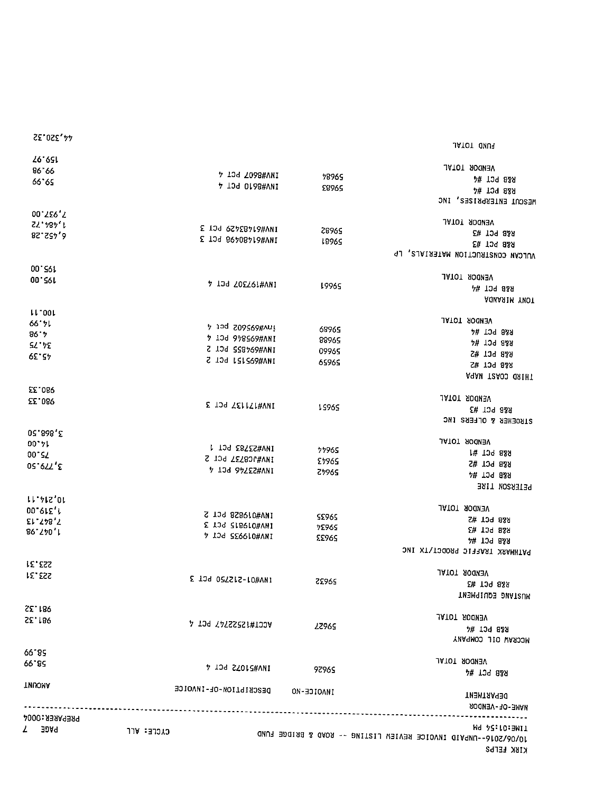FUND TOTAL

52.052.44

| PREPARER:0004<br>90A 9                 | כגכרב ערר                           |                | M4 75:10:3WI1<br>10/06/2016--UNPAID INVOICE REVIEW LISTING -- ROAD & BRIDGE FUND |
|----------------------------------------|-------------------------------------|----------------|----------------------------------------------------------------------------------|
|                                        |                                     |                | <b>THENTARTIO</b><br>NAME-OF-VENDOR<br>---------------------------               |
| THUOMA                                 | DESCRIPTION-OF-INVOICE              | INVOICE-NO     | 7# 104 839                                                                       |
| 00.82<br>66.85                         | 109 STOTC#VVI                       | 92965          | VENDOR TOTAL                                                                     |
|                                        |                                     |                | F&B PCT #4<br>MCCRAW OIL COMPANY                                                 |
| <b>SE.189</b>                          | A TOO 14725225517100A               | 22965          | VENDOR TOTAL                                                                     |
| 52.189                                 |                                     |                | NUSTANG EQUIPMENT                                                                |
| <b>223.31</b>                          | INV#01-S1S250 PCT 3                 | <b>SE965</b>   | R&B PCT #3                                                                       |
| 223.31                                 |                                     |                | VENDOR TOTAL                                                                     |
|                                        |                                     |                | PATHMARK TRAFFIC PRODCT/TX INC                                                   |
|                                        | 1 JJd SE6610#ANI                    | <b>EE965</b>   | F&B PCT #4                                                                       |
| E1.548.7<br>86'270'L                   | Z TOY ZIBRIO#VWI                    | 7296S          | R# 109 828                                                                       |
| 00 6LE'L                               | INV#019828 PCT 2                    | 52965          | VENDOR TOTAL<br>R&B PCT #2                                                       |
| 11, 215, 01                            |                                     |                |                                                                                  |
|                                        |                                     | 522965         | 4# 139 839<br>PETERSON TIRE                                                      |
| <b>05'6/1'Σ</b>                        | S 109 YEY806#VMI<br>7 13d 97222#ANI | £796S          | R&B PCT #2                                                                       |
| 00.55                                  | I TOY E87ES#VWI                     | <b>77965</b>   | <b>14 TO9 839</b>                                                                |
| 07.898, 2<br>00.41                     |                                     |                | VENDOR TOTAL                                                                     |
|                                        |                                     | 15965          | R&B PCT #3<br>STROEHER & OLFERS INC                                              |
| <b>25.089</b>                          | E 10d ZELIZI#ANI                    |                | <b>JATOT SOOWEV</b>                                                              |
| <b>25.089</b>                          |                                     |                | AGAM T2A00 Q91HI                                                                 |
|                                        | INV#G92121 bCL S                    | 6596S          | R&B PCT #2                                                                       |
| 62.57                                  | INA#R64855 PCT 2                    | 09965          | R&B PCT #2                                                                       |
| 57. PE                                 | 7 13d 978969#ANI                    | 88965          | 4# 109 839                                                                       |
| 66.71<br>80.4                          | 4 100 S0620#vni                     | 68965          | VENDOR TOTAL<br>5# 10d 878                                                       |
| 11.001                                 |                                     |                | AGNASIM YNOT                                                                     |
| 00.291                                 | A TOR SOENSIWANI                    | <b>19965</b>   | VENDOR TOTAL<br>7# 13d 878                                                       |
| 00. <sub>59</sub> r                    |                                     |                | VULCAN CONSTRUCTION MATERIALS, LP                                                |
|                                        | Σ 10d 86708719#ANI                  | 18965          | E# 139 889                                                                       |
| 85.554,8                               | E 134 62728719#ANI                  | 28965          | R&B PCT #3                                                                       |
| 00.789,7<br>$Z2^{\prime}787^{\prime}L$ |                                     |                | VENDOR TOTAL                                                                     |
|                                        |                                     |                | 7# 104 889<br>MESCAL EMIEBBB12E2' INC                                            |
| 66.65                                  | 7 104 0198#ANI                      | 78965<br>28965 | F&B PCT #4                                                                       |
| 26°651<br>86°66                        | 7 13d 2098#ANI                      |                | VENDOR TOTAL                                                                     |
|                                        |                                     |                |                                                                                  |

KIKK LEFb2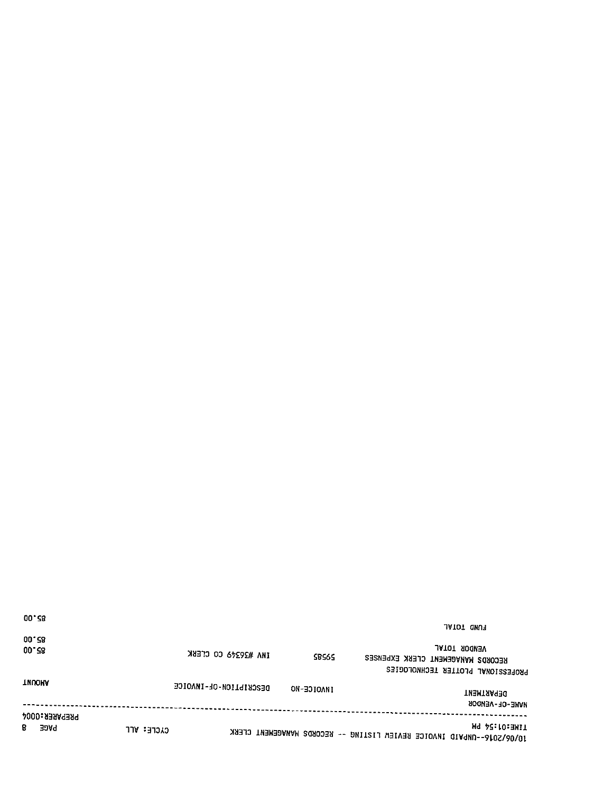| 00, 28                            |             |                        |                   | <b>FUND TOTAL</b>                                                                             |
|-----------------------------------|-------------|------------------------|-------------------|-----------------------------------------------------------------------------------------------|
| 00.28<br>00.38                    |             | IMA #39349 CO CLERK    | <b>SBS65</b>      | <b>VENDOR TOTAL</b><br>RECORDS WANAGEMENT CLERK EXPENSES                                      |
| <b>THUOHA</b>                     |             | DESCRIPTION-OF-INVOICE | <b>INVOICE-NO</b> | PROFESSIONAL PLOTIER TECHNOLOGIES<br><b>DEPARTMENT</b><br><b>MAME-OF-VENDOR</b>               |
| PREPARER:0004<br>8<br><b>PAGE</b> | כגכרכּ: פרר |                        |                   | TIME:D1:54 PM<br><b>10/06/2016--UNPAID INVOICE REVIEW LISTING -- RECORDS MANAGEMENT CLERK</b> |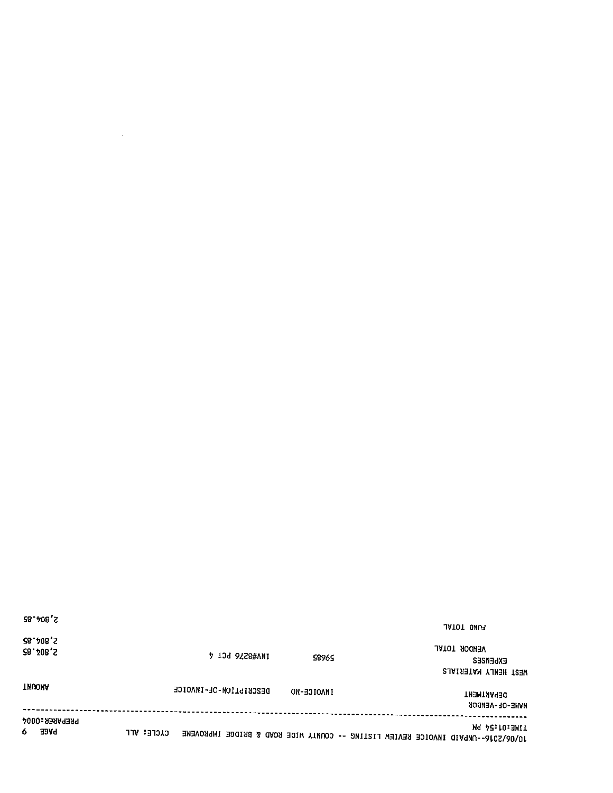| 58 708'Z                          |                        |            | <b>FUND TOTAL</b>                                                                                 |
|-----------------------------------|------------------------|------------|---------------------------------------------------------------------------------------------------|
| 2, 804. 85<br>28.408,5            | 7 10d 9228#ANI         | 58965      | VENDOR TOTAL<br><b>EXPENSES</b><br><b>MEST HENLY MATERIALS</b>                                    |
| <b>THUOMA</b>                     | DESCRIPTION-OF-INVOICE | INVOICE-NO | <b>THENTARTHENT</b><br>NAME-OF-VENDOR                                                             |
| PREPARER:0004<br>6<br><b>PACE</b> | כגכרפ: פרד             |            | JIME:D1:5M PM<br>10/06/2016--UNPAID INVOICE REVIEW LISTING -- COUNTY WIDE ROAD & BRIDGE INPROVEME |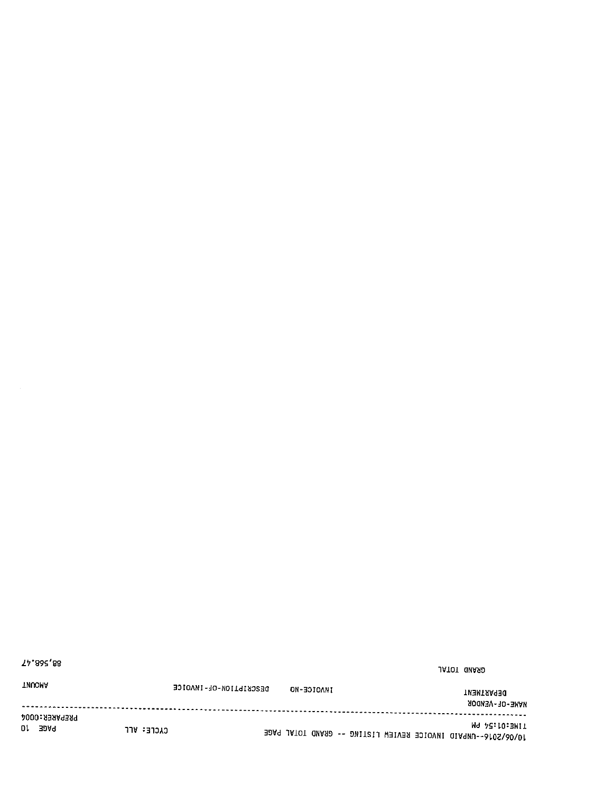| 77 225 28                       |                        |            |                                                               | JATOT GWARD |                                      |
|---------------------------------|------------------------|------------|---------------------------------------------------------------|-------------|--------------------------------------|
| <b>THUOMA</b>                   | DEZCKIblION-OL-IMAOICE | IMAOICE-NO |                                                               |             | <b>THEMIRARENT</b><br>NAME-OF-VENDOR |
| <b>PREPARER:0004</b><br>PAGE 10 | כגכרכ: ערר             |            | 10/06/2016--UNPAID INVOICE REVIEW LISTING -- GRAND TOTAL PAGE |             | TIME:D1:54 PM                        |

54,882,88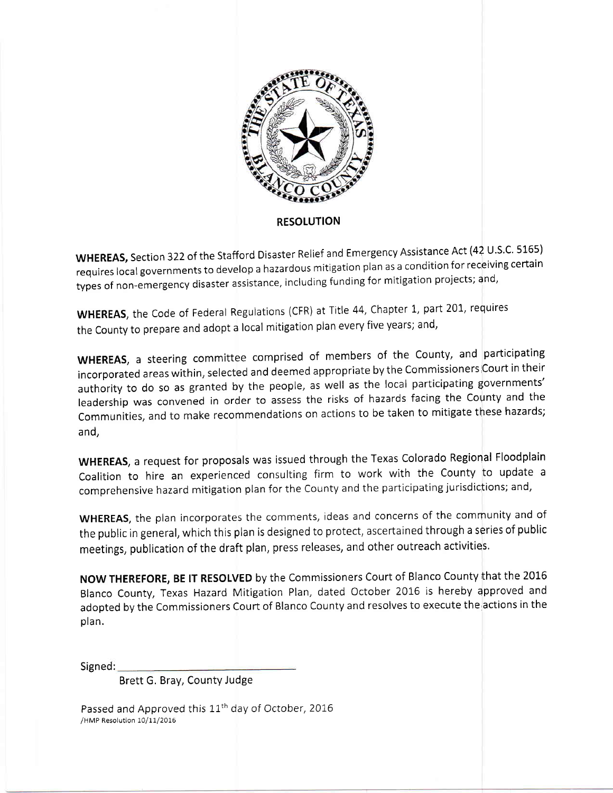

WHEREAS, Section 322 of the Stafford Disaster Relief and Emergency Assistance Act (42 U.S.C. 5165) requires local governments to develop a hazardous mitigation plan as a condition for receiving certain types of non-emergency disaster assistance, including funding for mitigation projects; and,

WHEREAS, the Code of Federal Regulations (CFR) at Title 44, Chapter 1, part 201, requires the county to prepare and adopt a local mitigation plan every five years; and,

WHEREAS, a steering committee comprised of members of the County, and participating incorporated areas within, selected and deemed appropriate by the Commissioners Court in their authority to do so as granted by the people, as well as the local participating governments' leadership was convened in order to assess the risks of hazards facing the County and the Communities, and to make recommendations on actions to be taken to mitigate these hazards; and,

WHEREA5, a request for proposals was issued through the Texas Colorado Regional Floodplain Coalition to hire an experienced consulting firm to work with the County to update <sup>a</sup> comprehensive hazard mitigation plan for the County and the participating jurisdictions; and,

WHEREAS, the plan incorporates the comments, ideas and concerns of the community and of the public in general, which this plan is designed to protect, ascertained through a series of public meetings, publication of the draft plan, press releases, and other outreach activities.

NOW THEREFORE, BE lT RESOLVED by the Commissioners Court of Blanco County that the <sup>2016</sup> Blanco County, Texas Hazard Mitigation Plan, dated October 2016 is hereby qpproved and adopted by the Commissioners Court of Blanco County and resolves to execute the actions in the plan.

Signed:

Brett G. Bray, County Judge

Passed and Approved this  $11<sup>th</sup>$  day of October, 2016 /HMP Resolution 10/11/2016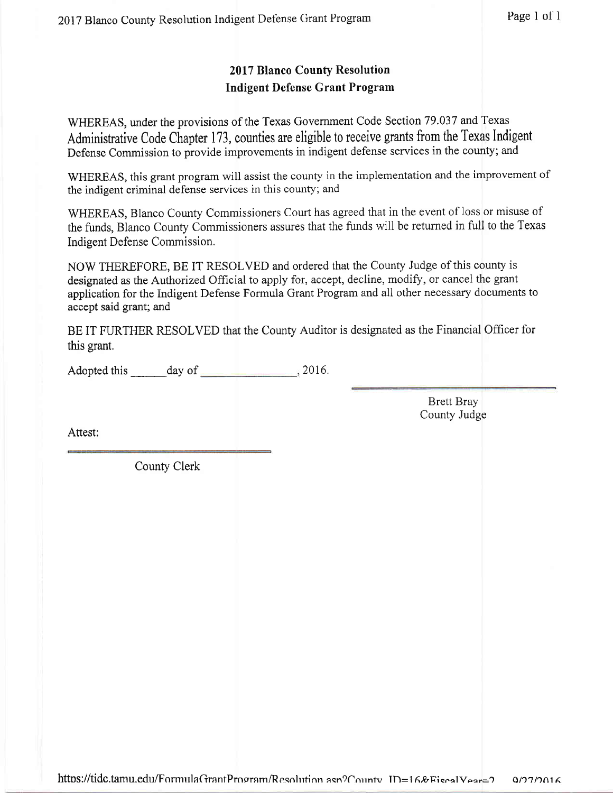### **2017 Blanco County Resolution Indigent Defense Grant Program**

WHEREAS, under the provisions of the Texas Government Code Section 79.037 and Texas Administrative Code Chapter 173, counties are eligible to receive grants from the Texas Indigent Defense Commission to provide improvements in indigent defense services in the county; and

WHEREAS, this grant program will assist the county in the implementation and the improvement of the indigent criminal defense services in this county; and

WHEREAS, Blanco County Commissioners Court has agreed that in the event of loss or misuse of the funds, Blanco County Commissioners assures that the funds will be returned in full to the Texas Indigent Defense Commission.

NOW THEREFORE, BE IT RESOLVED and ordered that the County Judge of this county is designated as the Authorized Official to apply for, accept, decline, modify, or cancel the grant application for the Indigent Defense Formula Grant Program and all other necessary documents to accept said grant; and

BE IT FURTHER RESOLVED that the County Auditor is designated as the Financial Officer for this grant.

**Brett Bray** County Judge

Attest:

County Clerk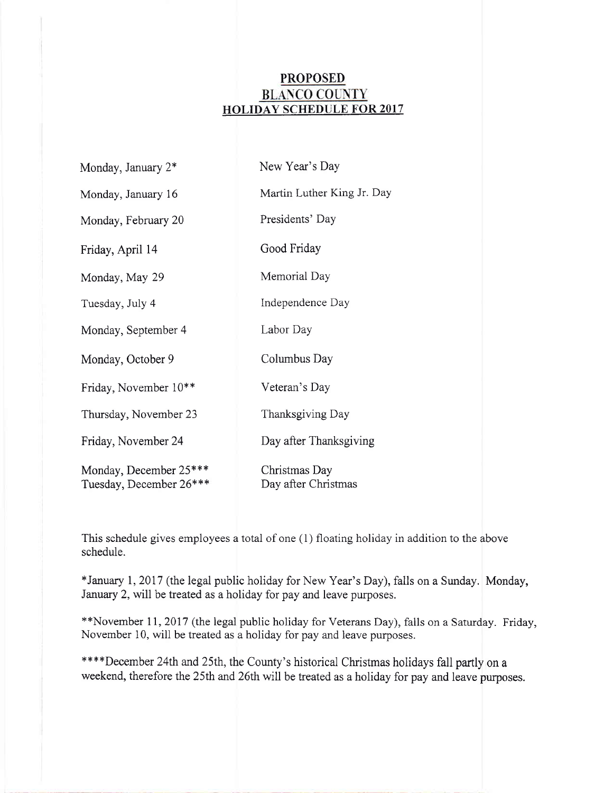### PROPOSED **BLANCO COUNTY** HOLIDAY SCHEDULE FOR 2017

| Monday, January 2*                                | New Year's Day                       |
|---------------------------------------------------|--------------------------------------|
| Monday, January 16                                | Martin Luther King Jr. Day           |
| Monday, February 20                               | Presidents' Day                      |
| Friday, April 14                                  | Good Friday                          |
| Monday, May 29                                    | Memorial Day                         |
| Tuesday, July 4                                   | Independence Day                     |
| Monday, September 4                               | Labor Day                            |
| Monday, October 9                                 | Columbus Day                         |
| Friday, November 10**                             | Veteran's Day                        |
| Thursday, November 23                             | Thanksgiving Day                     |
| Friday, November 24                               | Day after Thanksgiving               |
| Monday, December 25***<br>Tuesday, December 26*** | Christmas Day<br>Day after Christmas |

This schedule gives employees a total of one (1) floating holiday in addition to the above schedule.

\*January I,2017 (the legal public holiday for New Year's Day), falls on a Sunday. Monday, January 2, will be treated as a holiday for pay and leave purposes.

\*\*November 11, 2017 (the legal public holiday for Veterans Day), falls on a Saturday. Friday, November 10, will be treated as a holiday for pay and leave purposes.

\*\*\*\*December 24th and 25th, the County's historical Christmas holidays fall partly on a weekend, therefore the 25th and 26th will be treated as a holiday for pay and leave purposes.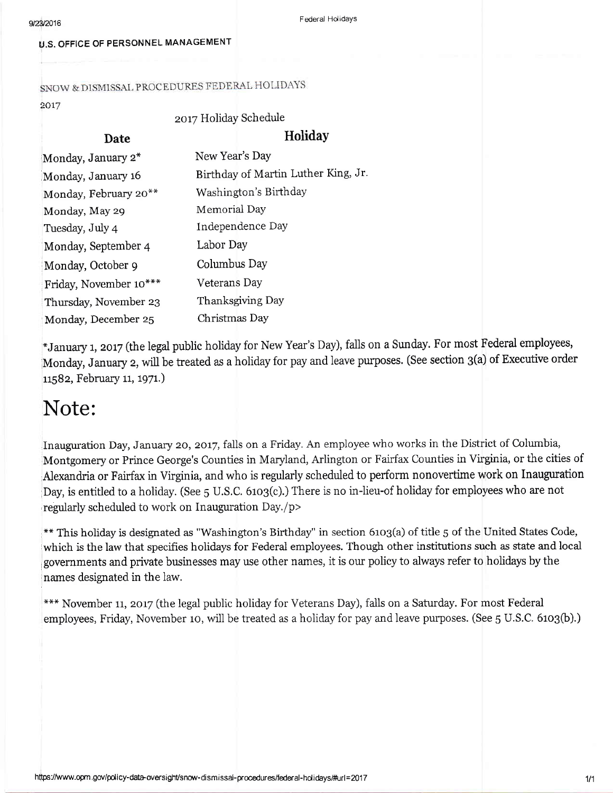Federal Holidays

#### U.S. OFFICE OF PERSONNEL MANAGEMENT

### SNOW & DISMISSAL PROCEDURES FEDERAL HOLIDAYS

2or7

|  |  | 2017 Holiday Schedule |
|--|--|-----------------------|
|--|--|-----------------------|

| <b>Date</b>                    | Holiday                             |
|--------------------------------|-------------------------------------|
| Monday, January 2 <sup>*</sup> | New Year's Day                      |
| Monday, January 16             | Birthday of Martin Luther King, Jr. |
| Monday, February 20**          | Washington's Birthday               |
| Monday, May 29                 | Memorial Day                        |
| Tuesday, July 4                | Independence Day                    |
| Monday, September 4            | Labor Day                           |
| Monday, October 9              | Columbus Day                        |
| Friday, November 10***         | Veterans Day                        |
| Thursday, November 23          | Thanksgiving Day                    |
| Monday, December 25            | Christmas Day                       |

\*January 1, 2017 (the legal public holiday for New Year's Day), falls on a Sunday. For most Federal employees, lMonday, January 2, will be treated as a holiday for pay and leave pwposes. (See section g(a) of Executive order 11582, February 11, 1971.)

# Note:

Inauguration Day, January 20, 2017, falls on a Friday. An employee who works in the District of Columbia, Montgomery or Prince George's Counties in Maryland, Arlington or Fairfax Counties in Virginia, or the cities of Alexandria or Fairfax in Virginia, and who is regularly scheduled to perform nonovertime work on Inauguration Day, is entitled to a holiday. (See 5 U.S.C. 6103(c).) There is no in-lieu-of holiday for employees who are not regularly scheduled to work on Inauguration Day./p>

\*\* This holiday is designated as "Washington's Birthday" in section 6103(a) of title 5 of the United States Code, which is the law that specifies hoiidays for Federal employees. Though other institutions such as state and local governments and private businesses may use other names, it is our policy to always refer to holidays by the names designated in the law.

\*\*\* November 11, 2017 (the legal public holiday for Veterans Day), falls on a Saturday. For most Federal employees, Friday, November 10, will be treated as a holiday for pay and leave purposes. (See  $5$  U.S.C. 6103(b).)